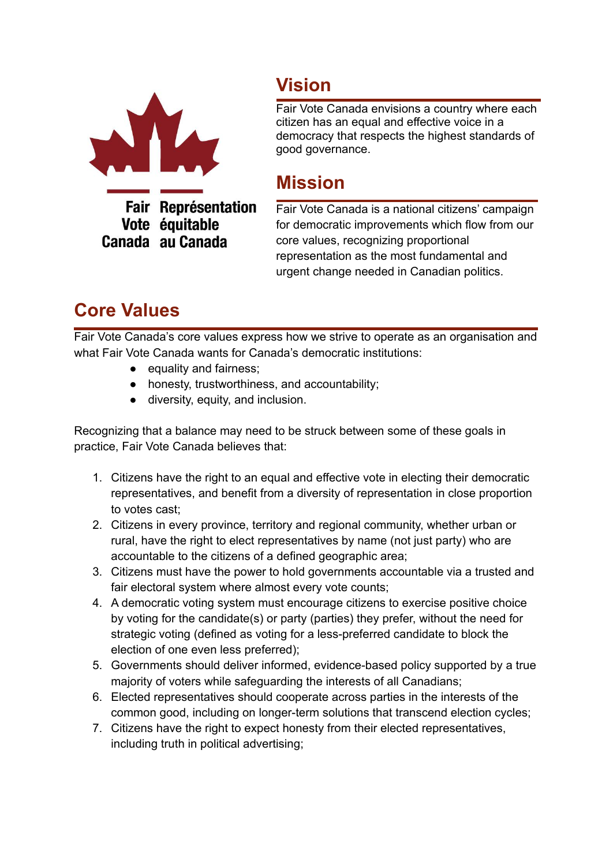

## **Vision**

Fair Vote Canada envisions a country where each citizen has an equal and effective voice in a democracy that respects the highest standards of good governance.

## **Mission**

**Fair Représentation** Vote équitable Canada au Canada

Fair Vote Canada is a national citizens' campaign for democratic improvements which flow from our core values, recognizing proportional representation as the most fundamental and urgent change needed in Canadian politics.

## **Core Values**

Fair Vote Canada's core values express how we strive to operate as an organisation and what Fair Vote Canada wants for Canada's democratic institutions:

- equality and fairness;
- honesty, trustworthiness, and accountability;
- diversity, equity, and inclusion.

Recognizing that a balance may need to be struck between some of these goals in practice, Fair Vote Canada believes that:

- 1. Citizens have the right to an equal and effective vote in electing their democratic representatives, and benefit from a diversity of representation in close proportion to votes cast;
- 2. Citizens in every province, territory and regional community, whether urban or rural, have the right to elect representatives by name (not just party) who are accountable to the citizens of a defined geographic area;
- 3. Citizens must have the power to hold governments accountable via a trusted and fair electoral system where almost every vote counts;
- 4. A democratic voting system must encourage citizens to exercise positive choice by voting for the candidate(s) or party (parties) they prefer, without the need for strategic voting (defined as voting for a less-preferred candidate to block the election of one even less preferred);
- 5. Governments should deliver informed, evidence-based policy supported by a true majority of voters while safeguarding the interests of all Canadians;
- 6. Elected representatives should cooperate across parties in the interests of the common good, including on longer-term solutions that transcend election cycles;
- 7. Citizens have the right to expect honesty from their elected representatives, including truth in political advertising;